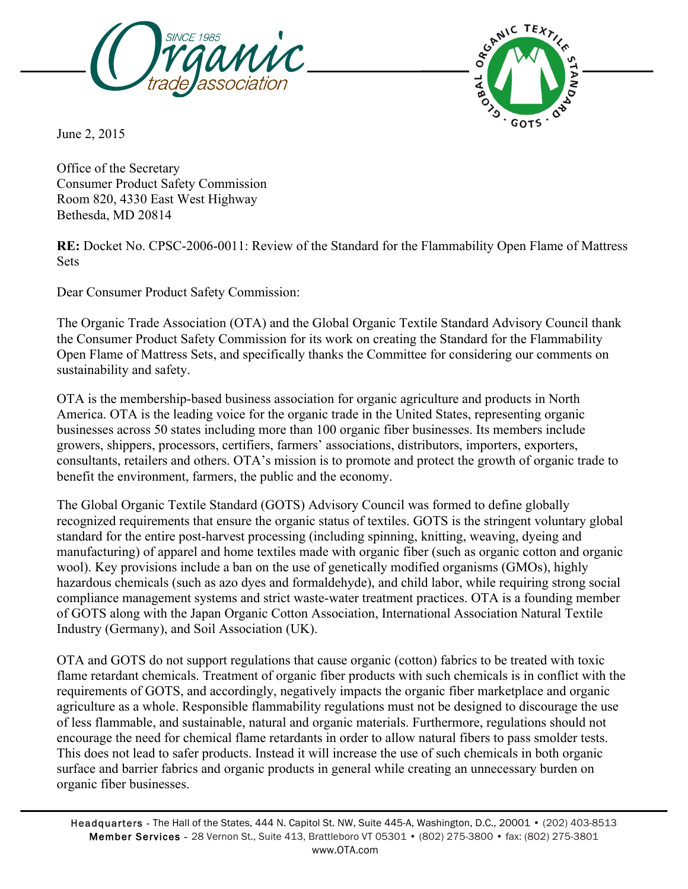



June 2, 2015

Office of the Secretary Consumer Product Safety Commission Room 820, 4330 East West Highway Bethesda, MD 20814

**RE:** Docket No. CPSC-2006-0011: Review of the Standard for the Flammability Open Flame of Mattress **Sets** 

Dear Consumer Product Safety Commission:

The Organic Trade Association (OTA) and the Global Organic Textile Standard Advisory Council thank the Consumer Product Safety Commission for its work on creating the Standard for the Flammability Open Flame of Mattress Sets, and specifically thanks the Committee for considering our comments on sustainability and safety.

OTA is the membership-based business association for organic agriculture and products in North America. OTA is the leading voice for the organic trade in the United States, representing organic businesses across 50 states including more than 100 organic fiber businesses. Its members include growers, shippers, processors, certifiers, farmers' associations, distributors, importers, exporters, consultants, retailers and others. OTA's mission is to promote and protect the growth of organic trade to benefit the environment, farmers, the public and the economy.

The Global Organic Textile Standard (GOTS) Advisory Council was formed to define globally recognized requirements that ensure the organic status of textiles. GOTS is the stringent voluntary global standard for the entire post-harvest processing (including spinning, knitting, weaving, dyeing and manufacturing) of apparel and home textiles made with organic fiber (such as organic cotton and organic wool). Key provisions include a ban on the use of genetically modified organisms (GMOs), highly hazardous chemicals (such as azo dyes and formaldehyde), and child labor, while requiring strong social compliance management systems and strict waste-water treatment practices. OTA is a founding member of GOTS along with the Japan Organic Cotton Association, International Association Natural Textile Industry (Germany), and Soil Association (UK).

OTA and GOTS do not support regulations that cause organic (cotton) fabrics to be treated with toxic flame retardant chemicals. Treatment of organic fiber products with such chemicals is in conflict with the requirements of GOTS, and accordingly, negatively impacts the organic fiber marketplace and organic agriculture as a whole. Responsible flammability regulations must not be designed to discourage the use of less flammable, and sustainable, natural and organic materials. Furthermore, regulations should not encourage the need for chemical flame retardants in order to allow natural fibers to pass smolder tests. This does not lead to safer products. Instead it will increase the use of such chemicals in both organic surface and barrier fabrics and organic products in general while creating an unnecessary burden on organic fiber businesses.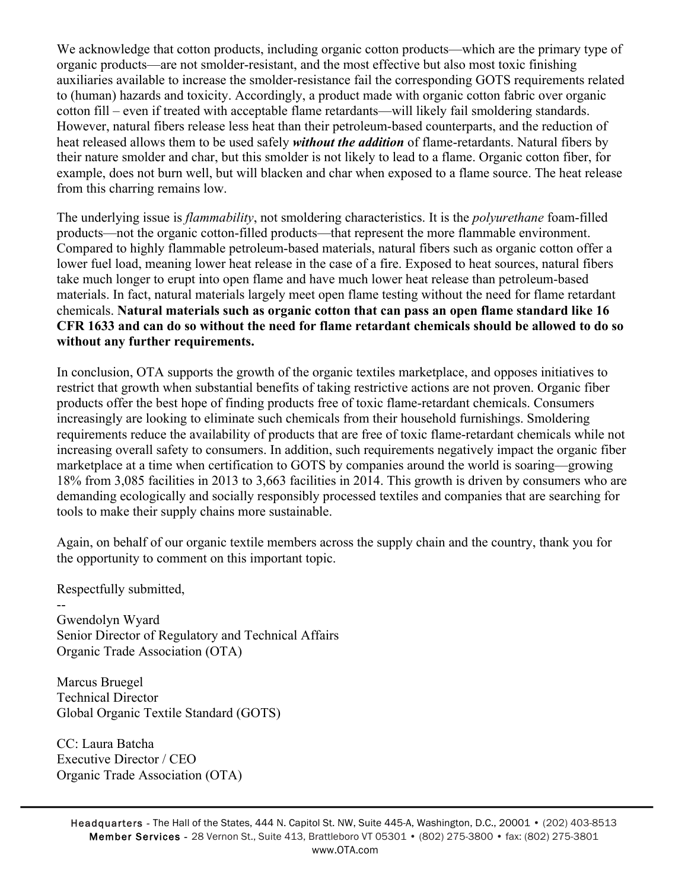We acknowledge that cotton products, including organic cotton products—which are the primary type of organic products—are not smolder-resistant, and the most effective but also most toxic finishing auxiliaries available to increase the smolder-resistance fail the corresponding GOTS requirements related to (human) hazards and toxicity. Accordingly, a product made with organic cotton fabric over organic cotton fill – even if treated with acceptable flame retardants—will likely fail smoldering standards. However, natural fibers release less heat than their petroleum-based counterparts, and the reduction of heat released allows them to be used safely *without the addition* of flame-retardants. Natural fibers by their nature smolder and char, but this smolder is not likely to lead to a flame. Organic cotton fiber, for example, does not burn well, but will blacken and char when exposed to a flame source. The heat release from this charring remains low.

The underlying issue is *flammability*, not smoldering characteristics. It is the *polyurethane* foam-filled products—not the organic cotton-filled products—that represent the more flammable environment. Compared to highly flammable petroleum-based materials, natural fibers such as organic cotton offer a lower fuel load, meaning lower heat release in the case of a fire. Exposed to heat sources, natural fibers take much longer to erupt into open flame and have much lower heat release than petroleum-based materials. In fact, natural materials largely meet open flame testing without the need for flame retardant chemicals. **Natural materials such as organic cotton that can pass an open flame standard like 16 CFR 1633 and can do so without the need for flame retardant chemicals should be allowed to do so without any further requirements.**

In conclusion, OTA supports the growth of the organic textiles marketplace, and opposes initiatives to restrict that growth when substantial benefits of taking restrictive actions are not proven. Organic fiber products offer the best hope of finding products free of toxic flame-retardant chemicals. Consumers increasingly are looking to eliminate such chemicals from their household furnishings. Smoldering requirements reduce the availability of products that are free of toxic flame-retardant chemicals while not increasing overall safety to consumers. In addition, such requirements negatively impact the organic fiber marketplace at a time when certification to GOTS by companies around the world is soaring—growing 18% from 3,085 facilities in 2013 to 3,663 facilities in 2014. This growth is driven by consumers who are demanding ecologically and socially responsibly processed textiles and companies that are searching for tools to make their supply chains more sustainable.

Again, on behalf of our organic textile members across the supply chain and the country, thank you for the opportunity to comment on this important topic.

Respectfully submitted,

--

Gwendolyn Wyard Senior Director of Regulatory and Technical Affairs Organic Trade Association (OTA)

Marcus Bruegel Technical Director Global Organic Textile Standard (GOTS)

CC: Laura Batcha Executive Director / CEO Organic Trade Association (OTA)